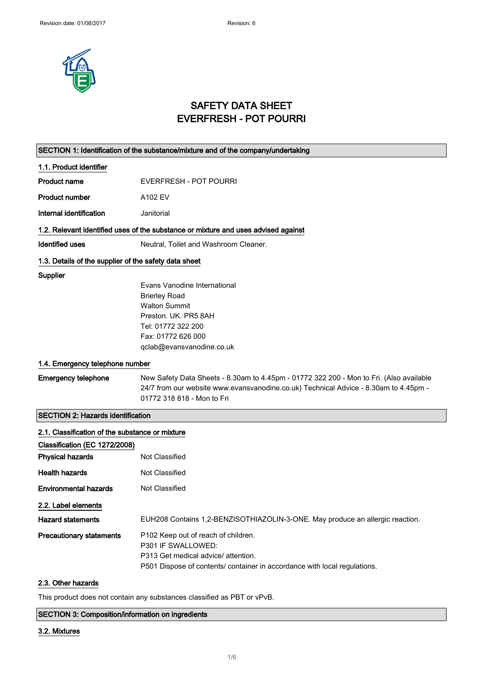

# SAFETY DATA SHEET EVERFRESH - POT POURRI

## SECTION 1: Identification of the substance/mixture and of the company/undertaking

## 1.1. Product identifier

| Product name | EVERFRESH - POT POURRI |
|--------------|------------------------|
|              |                        |

Product number A102 EV

Internal identification **Janitorial** 

## 1.2. Relevant identified uses of the substance or mixture and uses advised against

Identified uses Neutral, Toilet and Washroom Cleaner.

## 1.3. Details of the supplier of the safety data sheet

#### **Supplier**

Evans Vanodine International Brierley Road Walton Summit Preston. UK. PR5 8AH Tel: 01772 322 200 Fax: 01772 626 000 qclab@evansvanodine.co.uk

## 1.4. Emergency telephone number

Emergency telephone New Safety Data Sheets - 8.30am to 4.45pm - 01772 322 200 - Mon to Fri. (Also available 24/7 from our website www.evansvanodine.co.uk) Technical Advice - 8.30am to 4.45pm - 01772 318 818 - Mon to Fri

## SECTION 2: Hazards identification

| 2.1. Classification of the substance or mixture |                                                                                                                                                                              |
|-------------------------------------------------|------------------------------------------------------------------------------------------------------------------------------------------------------------------------------|
| Classification (EC 1272/2008)                   |                                                                                                                                                                              |
| <b>Physical hazards</b>                         | Not Classified                                                                                                                                                               |
| <b>Health hazards</b>                           | Not Classified                                                                                                                                                               |
| <b>Environmental hazards</b>                    | Not Classified                                                                                                                                                               |
| 2.2. Label elements                             |                                                                                                                                                                              |
| <b>Hazard statements</b>                        | EUH208 Contains 1,2-BENZISOTHIAZOLIN-3-ONE. May produce an allergic reaction.                                                                                                |
| <b>Precautionary statements</b>                 | P102 Keep out of reach of children.<br>P301 IF SWALLOWED:<br>P313 Get medical advice/attention.<br>P501 Dispose of contents/ container in accordance with local regulations. |

## 2.3. Other hazards

This product does not contain any substances classified as PBT or vPvB.

## SECTION 3: Composition/information on ingredients

#### 3.2. Mixtures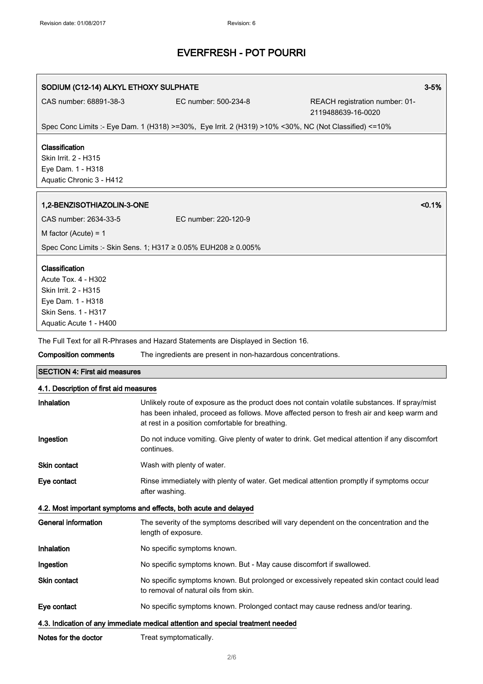## SODIUM (C12-14) ALKYL ETHOXY SULPHATE 3-5%

CAS number: 68891-38-3 EC number: 500-234-8 REACH registration number: 01- 2119488639-16-0020

Spec Conc Limits :- Eye Dam. 1 (H318) >=30%, Eye Irrit. 2 (H319) >10% <30%, NC (Not Classified) <=10%

## Classification

Skin Irrit. 2 - H315 Eye Dam. 1 - H318 Aquatic Chronic 3 - H412

## 1,2-BENZISOTHIAZOLIN-3-ONE <0.1%

| CAS number: 2634-33-5                                          | EC number: 220-120-9 |
|----------------------------------------------------------------|----------------------|
| M factor (Acute) = 1                                           |                      |
| Spec Conc Limits :- Skin Sens. 1; H317 ≥ 0.05% EUH208 ≥ 0.005% |                      |

## Classification

Acute Tox. 4 - H302 Skin Irrit. 2 - H315 Eye Dam. 1 - H318 Skin Sens. 1 - H317 Aquatic Acute 1 - H400

The Full Text for all R-Phrases and Hazard Statements are Displayed in Section 16.

Composition comments The ingredients are present in non-hazardous concentrations.

## SECTION 4: First aid measures

## 4.1. Description of first aid measures

| Inhalation                                                                      | Unlikely route of exposure as the product does not contain volatile substances. If spray/mist<br>has been inhaled, proceed as follows. Move affected person to fresh air and keep warm and<br>at rest in a position comfortable for breathing. |
|---------------------------------------------------------------------------------|------------------------------------------------------------------------------------------------------------------------------------------------------------------------------------------------------------------------------------------------|
| Ingestion                                                                       | Do not induce vomiting. Give plenty of water to drink. Get medical attention if any discomfort<br>continues.                                                                                                                                   |
| Skin contact                                                                    | Wash with plenty of water.                                                                                                                                                                                                                     |
| Eye contact                                                                     | Rinse immediately with plenty of water. Get medical attention promptly if symptoms occur<br>after washing.                                                                                                                                     |
| 4.2. Most important symptoms and effects, both acute and delayed                |                                                                                                                                                                                                                                                |
| General information                                                             | The severity of the symptoms described will vary dependent on the concentration and the<br>length of exposure.                                                                                                                                 |
| Inhalation                                                                      | No specific symptoms known.                                                                                                                                                                                                                    |
| Ingestion                                                                       | No specific symptoms known. But - May cause discomfort if swallowed.                                                                                                                                                                           |
| <b>Skin contact</b>                                                             | No specific symptoms known. But prolonged or excessively repeated skin contact could lead<br>to removal of natural oils from skin.                                                                                                             |
| Eye contact                                                                     | No specific symptoms known. Prolonged contact may cause redness and/or tearing.                                                                                                                                                                |
| 4.3. Indication of any immediate medical attention and special treatment needed |                                                                                                                                                                                                                                                |

Notes for the doctor Treat symptomatically.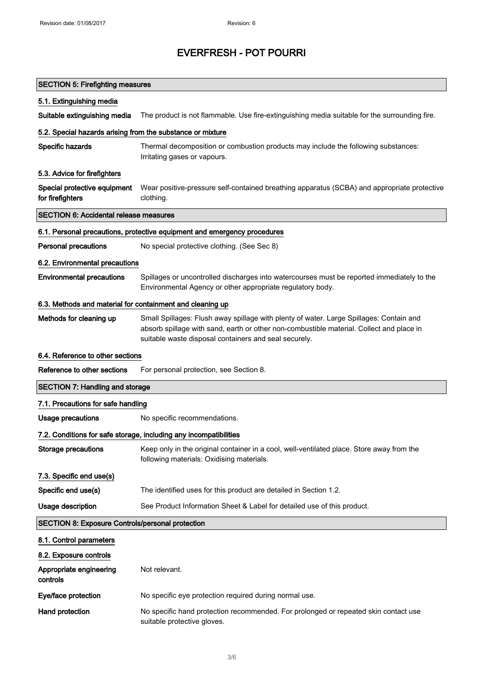| <b>SECTION 5: Firefighting measures</b>                    |                                                                                                                                                                                                                                              |
|------------------------------------------------------------|----------------------------------------------------------------------------------------------------------------------------------------------------------------------------------------------------------------------------------------------|
| 5.1. Extinguishing media                                   |                                                                                                                                                                                                                                              |
| Suitable extinguishing media                               | The product is not flammable. Use fire-extinguishing media suitable for the surrounding fire.                                                                                                                                                |
| 5.2. Special hazards arising from the substance or mixture |                                                                                                                                                                                                                                              |
| Specific hazards                                           | Thermal decomposition or combustion products may include the following substances:<br>Irritating gases or vapours.                                                                                                                           |
| 5.3. Advice for firefighters                               |                                                                                                                                                                                                                                              |
| Special protective equipment<br>for firefighters           | Wear positive-pressure self-contained breathing apparatus (SCBA) and appropriate protective<br>clothing.                                                                                                                                     |
| <b>SECTION 6: Accidental release measures</b>              |                                                                                                                                                                                                                                              |
|                                                            | 6.1. Personal precautions, protective equipment and emergency procedures                                                                                                                                                                     |
| <b>Personal precautions</b>                                | No special protective clothing. (See Sec 8)                                                                                                                                                                                                  |
| 6.2. Environmental precautions                             |                                                                                                                                                                                                                                              |
| <b>Environmental precautions</b>                           | Spillages or uncontrolled discharges into watercourses must be reported immediately to the<br>Environmental Agency or other appropriate regulatory body.                                                                                     |
| 6.3. Methods and material for containment and cleaning up  |                                                                                                                                                                                                                                              |
| Methods for cleaning up                                    | Small Spillages: Flush away spillage with plenty of water. Large Spillages: Contain and<br>absorb spillage with sand, earth or other non-combustible material. Collect and place in<br>suitable waste disposal containers and seal securely. |
| 6.4. Reference to other sections                           |                                                                                                                                                                                                                                              |
| Reference to other sections                                | For personal protection, see Section 8.                                                                                                                                                                                                      |
| <b>SECTION 7: Handling and storage</b>                     |                                                                                                                                                                                                                                              |
| 7.1. Precautions for safe handling                         |                                                                                                                                                                                                                                              |
| <b>Usage precautions</b>                                   | No specific recommendations.                                                                                                                                                                                                                 |
|                                                            | 7.2. Conditions for safe storage, including any incompatibilities                                                                                                                                                                            |
| <b>Storage precautions</b>                                 | Keep only in the original container in a cool, well-ventilated place. Store away from the<br>following materials: Oxidising materials.                                                                                                       |
| 7.3. Specific end use(s)                                   |                                                                                                                                                                                                                                              |
| Specific end use(s)                                        | The identified uses for this product are detailed in Section 1.2.                                                                                                                                                                            |
| Usage description                                          | See Product Information Sheet & Label for detailed use of this product.                                                                                                                                                                      |
| <b>SECTION 8: Exposure Controls/personal protection</b>    |                                                                                                                                                                                                                                              |
| 8.1. Control parameters                                    |                                                                                                                                                                                                                                              |
| 8.2. Exposure controls                                     |                                                                                                                                                                                                                                              |
| Appropriate engineering<br>controls                        | Not relevant.                                                                                                                                                                                                                                |
| Eye/face protection                                        | No specific eye protection required during normal use.                                                                                                                                                                                       |
| Hand protection                                            | No specific hand protection recommended. For prolonged or repeated skin contact use<br>suitable protective gloves.                                                                                                                           |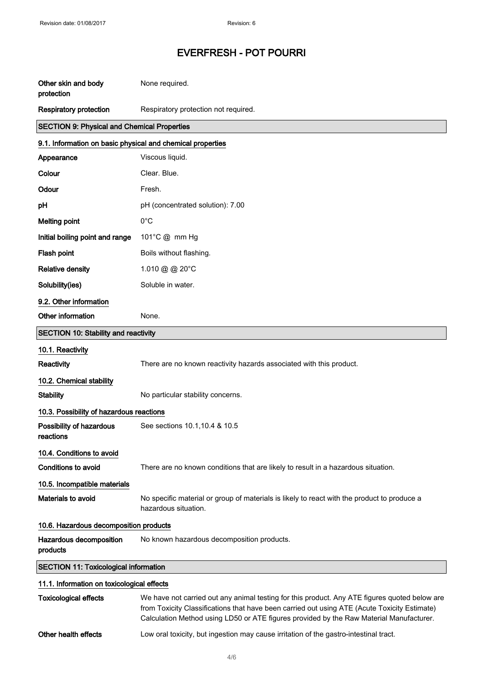| Other skin and body<br>protection                          | None required.                                                                                                                                                                                |  |
|------------------------------------------------------------|-----------------------------------------------------------------------------------------------------------------------------------------------------------------------------------------------|--|
| <b>Respiratory protection</b>                              | Respiratory protection not required.                                                                                                                                                          |  |
| <b>SECTION 9: Physical and Chemical Properties</b>         |                                                                                                                                                                                               |  |
| 9.1. Information on basic physical and chemical properties |                                                                                                                                                                                               |  |
| Appearance                                                 | Viscous liquid.                                                                                                                                                                               |  |
| Colour                                                     | Clear. Blue.                                                                                                                                                                                  |  |
| Odour                                                      | Fresh.                                                                                                                                                                                        |  |
| pH                                                         | pH (concentrated solution): 7.00                                                                                                                                                              |  |
| <b>Melting point</b>                                       | $0^{\circ}$ C                                                                                                                                                                                 |  |
| Initial boiling point and range                            | 101°C @ mm Hg                                                                                                                                                                                 |  |
| Flash point                                                | Boils without flashing.                                                                                                                                                                       |  |
| <b>Relative density</b>                                    | 1.010 @ @ 20°C                                                                                                                                                                                |  |
| Solubility(ies)                                            | Soluble in water.                                                                                                                                                                             |  |
| 9.2. Other information                                     |                                                                                                                                                                                               |  |
| Other information                                          | None.                                                                                                                                                                                         |  |
| <b>SECTION 10: Stability and reactivity</b>                |                                                                                                                                                                                               |  |
| 10.1. Reactivity                                           |                                                                                                                                                                                               |  |
| Reactivity                                                 | There are no known reactivity hazards associated with this product.                                                                                                                           |  |
| 10.2. Chemical stability                                   |                                                                                                                                                                                               |  |
| <b>Stability</b>                                           | No particular stability concerns.                                                                                                                                                             |  |
| 10.3. Possibility of hazardous reactions                   |                                                                                                                                                                                               |  |
| Possibility of hazardous<br>reactions                      | See sections 10.1, 10.4 & 10.5                                                                                                                                                                |  |
| 10.4. Conditions to avoid                                  |                                                                                                                                                                                               |  |
| <b>Conditions to avoid</b>                                 | There are no known conditions that are likely to result in a hazardous situation.                                                                                                             |  |
| 10.5. Incompatible materials                               |                                                                                                                                                                                               |  |
| Materials to avoid                                         | No specific material or group of materials is likely to react with the product to produce a<br>hazardous situation.                                                                           |  |
|                                                            | 10.6. Hazardous decomposition products                                                                                                                                                        |  |
| Hazardous decomposition<br>products                        | No known hazardous decomposition products.                                                                                                                                                    |  |
| <b>SECTION 11: Toxicological information</b>               |                                                                                                                                                                                               |  |
| 11.1. Information on toxicological effects                 |                                                                                                                                                                                               |  |
| <b>Toxicological effects</b>                               | We have not carried out any animal testing for this product. Any ATE figures quoted below are<br>from Toxicity Classifications that have been carried out using ATE (Acute Toxicity Estimate) |  |

Calculation Method using LD50 or ATE figures provided by the Raw Material Manufacturer.

Other health effects Low oral toxicity, but ingestion may cause irritation of the gastro-intestinal tract.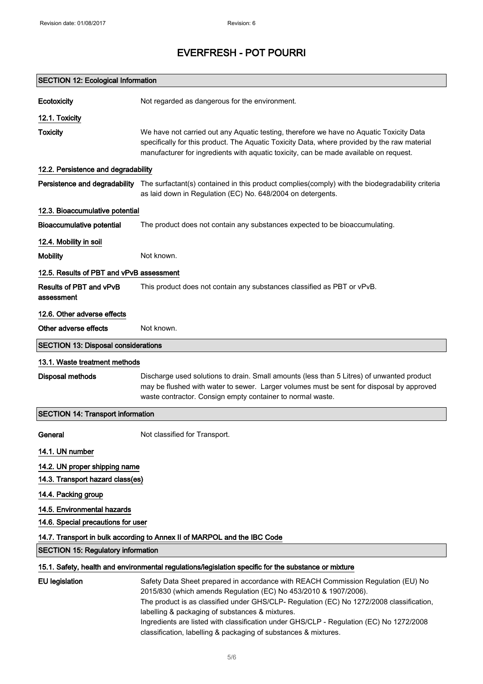| <b>SECTION 12: Ecological Information</b>  |                                                                                                                                                                                                                                                                                                                                                                                                 |
|--------------------------------------------|-------------------------------------------------------------------------------------------------------------------------------------------------------------------------------------------------------------------------------------------------------------------------------------------------------------------------------------------------------------------------------------------------|
| Ecotoxicity                                | Not regarded as dangerous for the environment.                                                                                                                                                                                                                                                                                                                                                  |
| 12.1. Toxicity                             |                                                                                                                                                                                                                                                                                                                                                                                                 |
| <b>Toxicity</b>                            | We have not carried out any Aquatic testing, therefore we have no Aquatic Toxicity Data<br>specifically for this product. The Aquatic Toxicity Data, where provided by the raw material<br>manufacturer for ingredients with aquatic toxicity, can be made available on request.                                                                                                                |
| 12.2. Persistence and degradability        |                                                                                                                                                                                                                                                                                                                                                                                                 |
| Persistence and degradability              | The surfactant(s) contained in this product complies(comply) with the biodegradability criteria<br>as laid down in Regulation (EC) No. 648/2004 on detergents.                                                                                                                                                                                                                                  |
| 12.3. Bioaccumulative potential            |                                                                                                                                                                                                                                                                                                                                                                                                 |
| <b>Bioaccumulative potential</b>           | The product does not contain any substances expected to be bioaccumulating.                                                                                                                                                                                                                                                                                                                     |
| 12.4. Mobility in soil                     |                                                                                                                                                                                                                                                                                                                                                                                                 |
| <b>Mobility</b>                            | Not known.                                                                                                                                                                                                                                                                                                                                                                                      |
| 12.5. Results of PBT and vPvB assessment   |                                                                                                                                                                                                                                                                                                                                                                                                 |
| Results of PBT and vPvB<br>assessment      | This product does not contain any substances classified as PBT or vPvB.                                                                                                                                                                                                                                                                                                                         |
| 12.6. Other adverse effects                |                                                                                                                                                                                                                                                                                                                                                                                                 |
| Other adverse effects                      | Not known.                                                                                                                                                                                                                                                                                                                                                                                      |
| <b>SECTION 13: Disposal considerations</b> |                                                                                                                                                                                                                                                                                                                                                                                                 |
| 13.1. Waste treatment methods              |                                                                                                                                                                                                                                                                                                                                                                                                 |
| <b>Disposal methods</b>                    | Discharge used solutions to drain. Small amounts (less than 5 Litres) of unwanted product<br>may be flushed with water to sewer. Larger volumes must be sent for disposal by approved<br>waste contractor. Consign empty container to normal waste.                                                                                                                                             |
| <b>SECTION 14: Transport information</b>   |                                                                                                                                                                                                                                                                                                                                                                                                 |
| General                                    | Not classified for Transport.                                                                                                                                                                                                                                                                                                                                                                   |
| 14.1. UN number                            |                                                                                                                                                                                                                                                                                                                                                                                                 |
| 14.2. UN proper shipping name              |                                                                                                                                                                                                                                                                                                                                                                                                 |
| 14.3. Transport hazard class(es)           |                                                                                                                                                                                                                                                                                                                                                                                                 |
| 14.4. Packing group                        |                                                                                                                                                                                                                                                                                                                                                                                                 |
| 14.5. Environmental hazards                |                                                                                                                                                                                                                                                                                                                                                                                                 |
| 14.6. Special precautions for user         |                                                                                                                                                                                                                                                                                                                                                                                                 |
|                                            | 14.7. Transport in bulk according to Annex II of MARPOL and the IBC Code                                                                                                                                                                                                                                                                                                                        |
| <b>SECTION 15: Regulatory information</b>  |                                                                                                                                                                                                                                                                                                                                                                                                 |
|                                            | 15.1. Safety, health and environmental regulations/legislation specific for the substance or mixture                                                                                                                                                                                                                                                                                            |
| <b>EU</b> legislation                      | Safety Data Sheet prepared in accordance with REACH Commission Regulation (EU) No<br>2015/830 (which amends Regulation (EC) No 453/2010 & 1907/2006).<br>The product is as classified under GHS/CLP- Regulation (EC) No 1272/2008 classification,<br>labelling & packaging of substances & mixtures.<br>Ingredients are listed with classification under GHS/CLP - Regulation (EC) No 1272/2008 |
|                                            | classification, labelling & packaging of substances & mixtures.                                                                                                                                                                                                                                                                                                                                 |